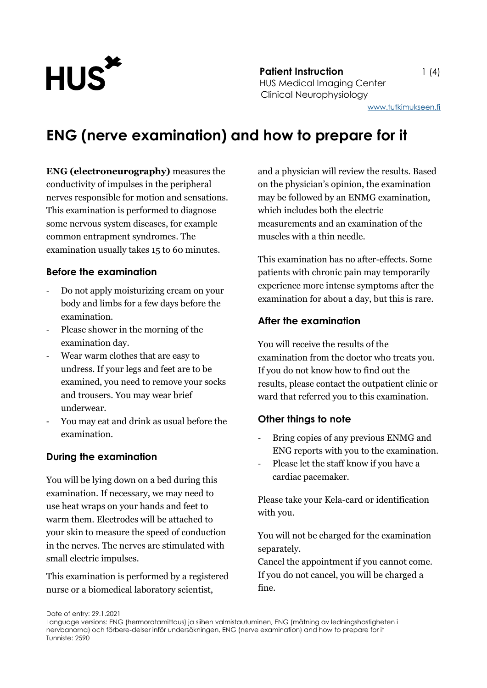

**Patient Instruction** 1 (4) HUS Medical Imaging Center Clinical Neurophysiology

## **ENG (nerve examination) and how to prepare for it**

**ENG (electroneurography)** measures the conductivity of impulses in the peripheral nerves responsible for motion and sensations. This examination is performed to diagnose some nervous system diseases, for example common entrapment syndromes. The examination usually takes 15 to 60 minutes.

#### **Before the examination**

- Do not apply moisturizing cream on your body and limbs for a few days before the examination.
- Please shower in the morning of the examination day.
- Wear warm clothes that are easy to undress. If your legs and feet are to be examined, you need to remove your socks and trousers. You may wear brief underwear.
- You may eat and drink as usual before the examination.

#### **During the examination**

You will be lying down on a bed during this examination. If necessary, we may need to use heat wraps on your hands and feet to warm them. Electrodes will be attached to your skin to measure the speed of conduction in the nerves. The nerves are stimulated with small electric impulses.

This examination is performed by a registered nurse or a biomedical laboratory scientist,

and a physician will review the results. Based on the physician's opinion, the examination may be followed by an ENMG examination, which includes both the electric measurements and an examination of the muscles with a thin needle.

This examination has no after-effects. Some patients with chronic pain may temporarily experience more intense symptoms after the examination for about a day, but this is rare.

#### **After the examination**

You will receive the results of the examination from the doctor who treats you. If you do not know how to find out the results, please contact the outpatient clinic or ward that referred you to this examination.

#### **Other things to note**

- Bring copies of any previous ENMG and ENG reports with you to the examination.
- Please let the staff know if you have a cardiac pacemaker.

Please take your Kela-card or identification with you.

You will not be charged for the examination separately.

Cancel the appointment if you cannot come. If you do not cancel, you will be charged a fine.

Date of entry: 29.1.2021

Language versions: ENG (hermoratamittaus) ja siihen valmistautuminen, ENG (mätning av ledningshastigheten i nervbanorna) och förbere-delser inför undersökningen, ENG (nerve examination) and how to prepare for it Tunniste: 2590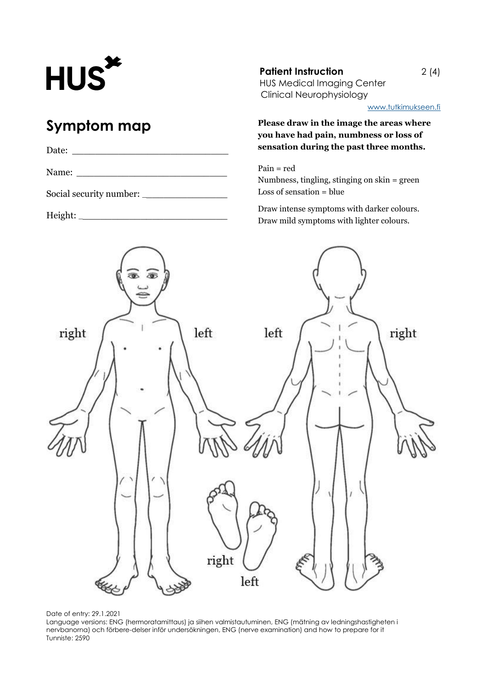# **HUS**

# **Symptom map**

| Date: |                         |  |
|-------|-------------------------|--|
| Name: |                         |  |
|       | Social security number: |  |

Height: \_\_\_\_\_\_\_\_\_\_\_\_\_\_\_\_\_\_\_\_\_\_\_\_\_\_

**Patient Instruction** 2 (4) HUS Medical Imaging Center Clinical Neurophysiology

[www.tutkimukseen.fi](http://www.tutkimukseen.fi/)

**Please draw in the image the areas where you have had pain, numbness or loss of sensation during the past three months.**

Pain = red Numbness, tingling, stinging on skin = green Loss of sensation = blue

Draw intense symptoms with darker colours. Draw mild symptoms with lighter colours.



Date of entry: 29.1.2021

Language versions: ENG (hermoratamittaus) ja siihen valmistautuminen, ENG (mätning av ledningshastigheten i nervbanorna) och förbere-delser inför undersökningen, ENG (nerve examination) and how to prepare for it Tunniste: 2590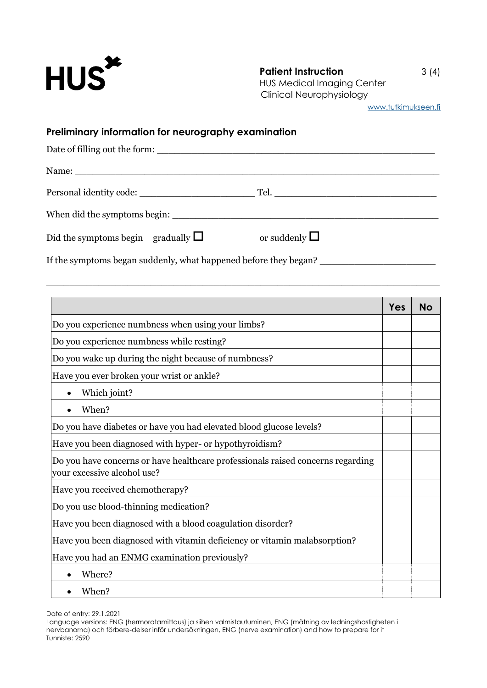

[www.tutkimukseen.fi](http://www.tutkimukseen.fi/)

## **Preliminary information for neurography examination**

| Date of filling out the form:                                                                                                                                                                                                  |                       |  |  |  |
|--------------------------------------------------------------------------------------------------------------------------------------------------------------------------------------------------------------------------------|-----------------------|--|--|--|
|                                                                                                                                                                                                                                |                       |  |  |  |
| Personal identity code: National Communications of the contract of the contract of the contract of the contract of the contract of the contract of the contract of the contract of the contract of the contract of the contrac |                       |  |  |  |
|                                                                                                                                                                                                                                |                       |  |  |  |
| Did the symptoms begin gradually $\square$                                                                                                                                                                                     | or suddenly $\square$ |  |  |  |

\_\_\_\_\_\_\_\_\_\_\_\_\_\_\_\_\_\_\_\_\_\_\_\_\_\_\_\_\_\_\_\_\_\_\_\_\_\_\_\_\_\_\_\_\_\_\_\_\_\_\_\_\_\_\_\_\_\_\_\_\_\_\_\_\_\_\_\_

If the symptoms began suddenly, what happened before they began? \_\_\_\_\_\_\_\_\_\_\_\_\_\_\_\_\_\_\_\_

|                                                                                                                | Yes | <b>No</b> |
|----------------------------------------------------------------------------------------------------------------|-----|-----------|
| Do you experience numbness when using your limbs?                                                              |     |           |
| Do you experience numbness while resting?                                                                      |     |           |
| Do you wake up during the night because of numbness?                                                           |     |           |
| Have you ever broken your wrist or ankle?                                                                      |     |           |
| Which joint?                                                                                                   |     |           |
| When?                                                                                                          |     |           |
| Do you have diabetes or have you had elevated blood glucose levels?                                            |     |           |
| Have you been diagnosed with hyper- or hypothyroidism?                                                         |     |           |
| Do you have concerns or have healthcare professionals raised concerns regarding<br>your excessive alcohol use? |     |           |
| Have you received chemotherapy?                                                                                |     |           |
| Do you use blood-thinning medication?                                                                          |     |           |
| Have you been diagnosed with a blood coagulation disorder?                                                     |     |           |
| Have you been diagnosed with vitamin deficiency or vitamin malabsorption?                                      |     |           |
| Have you had an ENMG examination previously?                                                                   |     |           |
| Where?                                                                                                         |     |           |
| When?                                                                                                          |     |           |

Date of entry: 29.1.2021

Language versions: ENG (hermoratamittaus) ja siihen valmistautuminen, ENG (mätning av ledningshastigheten i nervbanorna) och förbere-delser inför undersökningen, ENG (nerve examination) and how to prepare for it Tunniste: 2590